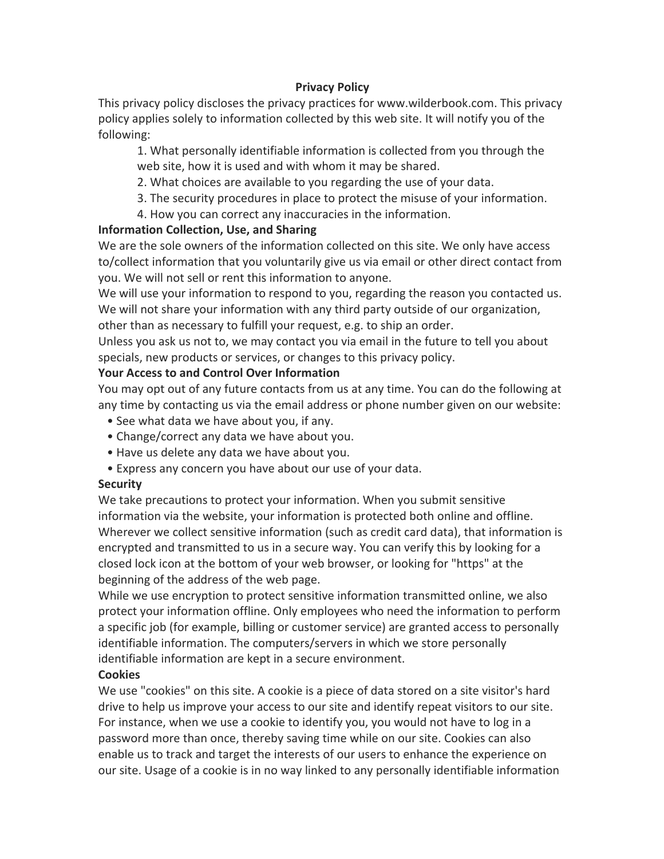# **Privacy Policy**

This privacy policy discloses the privacy practices for www.wilderbook.com. This privacy policy applies solely to information collected by this web site. It will notify you of the following:

1. What personally identifiable information is collected from you through the web site, how it is used and with whom it may be shared.

2. What choices are available to you regarding the use of your data.

- 3. The security procedures in place to protect the misuse of your information.
- 4. How you can correct any inaccuracies in the information.

#### **Information Collection, Use, and Sharing**

We are the sole owners of the information collected on this site. We only have access to/collect information that you voluntarily give us via email or other direct contact from you. We will not sell or rent this information to anyone.

We will use your information to respond to you, regarding the reason you contacted us. We will not share your information with any third party outside of our organization, other than as necessary to fulfill your request, e.g. to ship an order.

Unless you ask us not to, we may contact you via email in the future to tell you about specials, new products or services, or changes to this privacy policy.

#### **Your Access to and Control Over Information**

You may opt out of any future contacts from us at any time. You can do the following at any time by contacting us via the email address or phone number given on our website:

- See what data we have about you, if any.
- Change/correct any data we have about you.
- Have us delete any data we have about you.
- Express any concern you have about our use of your data.

# **Security**

We take precautions to protect your information. When you submit sensitive information via the website, your information is protected both online and offline. Wherever we collect sensitive information (such as credit card data), that information is encrypted and transmitted to us in a secure way. You can verify this by looking for a closed lock icon at the bottom of your web browser, or looking for "https" at the beginning of the address of the web page.

While we use encryption to protect sensitive information transmitted online, we also protect your information offline. Only employees who need the information to perform a specific job (for example, billing or customer service) are granted access to personally identifiable information. The computers/servers in which we store personally identifiable information are kept in a secure environment.

# **Cookies**

We use "cookies" on this site. A cookie is a piece of data stored on a site visitor's hard drive to help us improve your access to our site and identify repeat visitors to our site. For instance, when we use a cookie to identify you, you would not have to log in a password more than once, thereby saving time while on our site. Cookies can also enable us to track and target the interests of our users to enhance the experience on our site. Usage of a cookie is in no way linked to any personally identifiable information